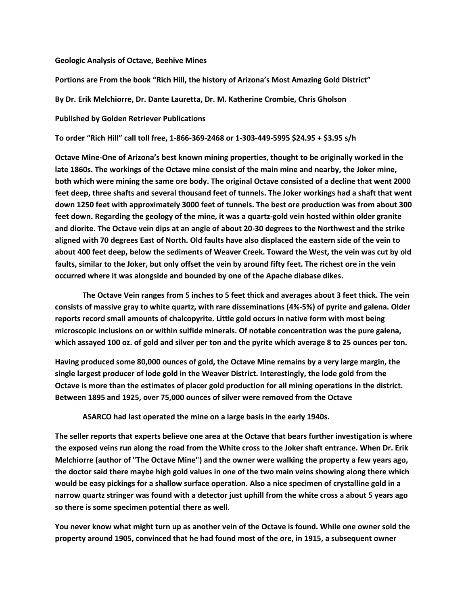## Geologic Analysis of Octave, Beehive Mines

Portions are From the book "Rich Hill, the history of Arizona's Most Amazing Gold District"

By Dr. Erik Melchiorre, Dr. Dante Lauretta, Dr. M. Katherine Crombie, Chris Gholson

## Published by Golden Retriever Publications

To order "Rich Hill" call toll free, 1-866-369-2468 or 1-303-449-5995 \$24.95 + \$3.95 s/h

Octave Mine-One of Arizona's best known mining properties, thought to be originally worked in the late 1860s. The workings of the Octave mine consist of the main mine and nearby, the Joker mine, both which were mining the same ore body. The original Octave consisted of a decline that went 2000 feet deep, three shafts and several thousand feet of tunnels. The Joker workings had a shaft that went down 1250 feet with approximately 3000 feet of tunnels. The best ore production was from about 300 feet down. Regarding the geology of the mine, it was a quartz-gold vein hosted within older granite and diorite. The Octave vein dips at an angle of about 20-30 degrees to the Northwest and the strike aligned with 70 degrees East of North. Old faults have also displaced the eastern side of the vein to about 400 feet deep, below the sediments of Weaver Creek. Toward the West, the vein was cut by old faults, similar to the Joker, but only offset the vein by around fifty feet. The richest ore in the vein occurred where it was alongside and bounded by one of the Apache diabase dikes.

 The Octave Vein ranges from 5 inches to 5 feet thick and averages about 3 feet thick. The vein consists of massive gray to white quartz, with rare disseminations (4%-5%) of pyrite and galena. Older reports record small amounts of chalcopyrite. Little gold occurs in native form with most being microscopic inclusions on or within sulfide minerals. Of notable concentration was the pure galena, which assayed 100 oz. of gold and silver per ton and the pyrite which average 8 to 25 ounces per ton.

Having produced some 80,000 ounces of gold, the Octave Mine remains by a very large margin, the single largest producer of lode gold in the Weaver District. Interestingly, the lode gold from the Octave is more than the estimates of placer gold production for all mining operations in the district. Between 1895 and 1925, over 75,000 ounces of silver were removed from the Octave

ASARCO had last operated the mine on a large basis in the early 1940s.

The seller reports that experts believe one area at the Octave that bears further investigation is where the exposed veins run along the road from the White cross to the Joker shaft entrance. When Dr. Erik Melchiorre (author of "The Octave Mine") and the owner were walking the property a few years ago, the doctor said there maybe high gold values in one of the two main veins showing along there which would be easy pickings for a shallow surface operation. Also a nice specimen of crystalline gold in a narrow quartz stringer was found with a detector just uphill from the white cross a about 5 years ago so there is some specimen potential there as well.

You never know what might turn up as another vein of the Octave is found. While one owner sold the property around 1905, convinced that he had found most of the ore, in 1915, a subsequent owner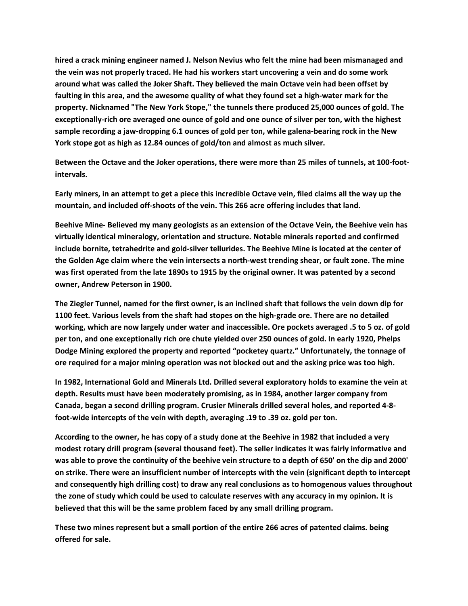hired a crack mining engineer named J. Nelson Nevius who felt the mine had been mismanaged and the vein was not properly traced. He had his workers start uncovering a vein and do some work around what was called the Joker Shaft. They believed the main Octave vein had been offset by faulting in this area, and the awesome quality of what they found set a high-water mark for the property. Nicknamed "The New York Stope," the tunnels there produced 25,000 ounces of gold. The exceptionally-rich ore averaged one ounce of gold and one ounce of silver per ton, with the highest sample recording a jaw-dropping 6.1 ounces of gold per ton, while galena-bearing rock in the New York stope got as high as 12.84 ounces of gold/ton and almost as much silver.

Between the Octave and the Joker operations, there were more than 25 miles of tunnels, at 100-footintervals.

Early miners, in an attempt to get a piece this incredible Octave vein, filed claims all the way up the mountain, and included off-shoots of the vein. This 266 acre offering includes that land.

Beehive Mine- Believed my many geologists as an extension of the Octave Vein, the Beehive vein has virtually identical mineralogy, orientation and structure. Notable minerals reported and confirmed include bornite, tetrahedrite and gold-silver tellurides. The Beehive Mine is located at the center of the Golden Age claim where the vein intersects a north-west trending shear, or fault zone. The mine was first operated from the late 1890s to 1915 by the original owner. It was patented by a second owner, Andrew Peterson in 1900.

The Ziegler Tunnel, named for the first owner, is an inclined shaft that follows the vein down dip for 1100 feet. Various levels from the shaft had stopes on the high-grade ore. There are no detailed working, which are now largely under water and inaccessible. Ore pockets averaged .5 to 5 oz. of gold per ton, and one exceptionally rich ore chute yielded over 250 ounces of gold. In early 1920, Phelps Dodge Mining explored the property and reported "pocketey quartz." Unfortunately, the tonnage of ore required for a major mining operation was not blocked out and the asking price was too high.

In 1982, International Gold and Minerals Ltd. Drilled several exploratory holds to examine the vein at depth. Results must have been moderately promising, as in 1984, another larger company from Canada, began a second drilling program. Crusier Minerals drilled several holes, and reported 4-8 foot-wide intercepts of the vein with depth, averaging .19 to .39 oz. gold per ton.

According to the owner, he has copy of a study done at the Beehive in 1982 that included a very modest rotary drill program (several thousand feet). The seller indicates it was fairly informative and was able to prove the continuity of the beehive vein structure to a depth of 650' on the dip and 2000' on strike. There were an insufficient number of intercepts with the vein (significant depth to intercept and consequently high drilling cost) to draw any real conclusions as to homogenous values throughout the zone of study which could be used to calculate reserves with any accuracy in my opinion. It is believed that this will be the same problem faced by any small drilling program.

These two mines represent but a small portion of the entire 266 acres of patented claims. being offered for sale.